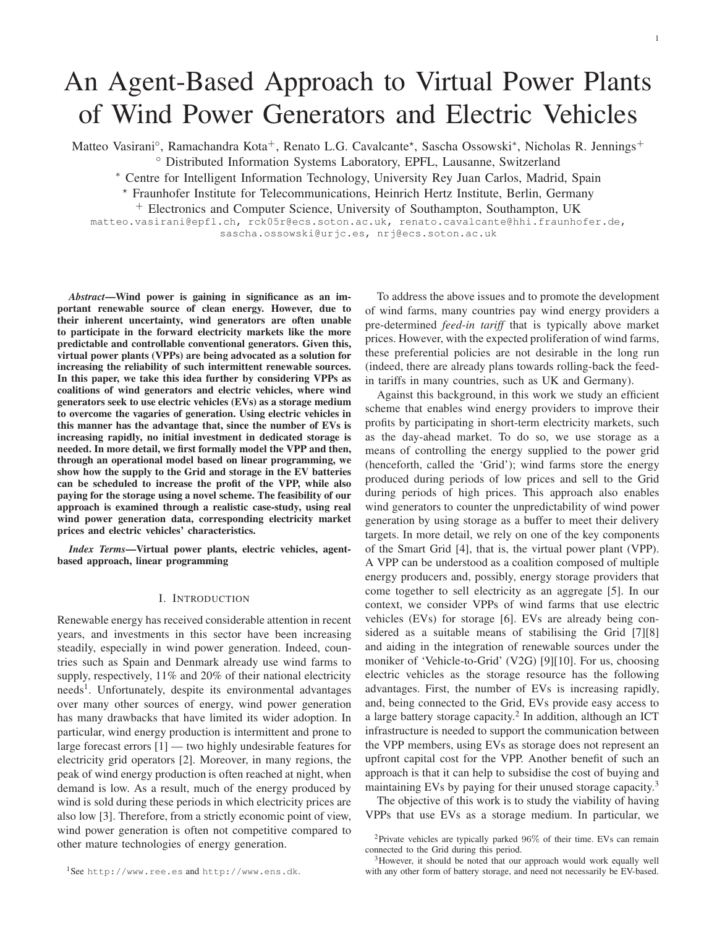# An Agent-Based Approach to Virtual Power Plants of Wind Power Generators and Electric Vehicles

Matteo Vasirani°, Ramachandra Kota<sup>+</sup>, Renato L.G. Cavalcante\*, Sascha Ossowski\*, Nicholas R. Jennings<sup>+</sup>

◦ Distributed Information Systems Laboratory, EPFL, Lausanne, Switzerland

∗ Centre for Intelligent Information Technology, University Rey Juan Carlos, Madrid, Spain

! Fraunhofer Institute for Telecommunications, Heinrich Hertz Institute, Berlin, Germany

<sup>+</sup> Electronics and Computer Science, University of Southampton, Southampton, UK

matteo.vasirani@epfl.ch, rck05r@ecs.soton.ac.uk, renato.cavalcante@hhi.fraunhofer.de, sascha.ossowski@urjc.es, nrj@ecs.soton.ac.uk

*Abstract*—Wind power is gaining in significance as an important renewable source of clean energy. However, due to their inherent uncertainty, wind generators are often unable to participate in the forward electricity markets like the more predictable and controllable conventional generators. Given this, virtual power plants (VPPs) are being advocated as a solution for increasing the reliability of such intermittent renewable sources. In this paper, we take this idea further by considering VPPs as coalitions of wind generators and electric vehicles, where wind generators seek to use electric vehicles (EVs) as a storage medium to overcome the vagaries of generation. Using electric vehicles in this manner has the advantage that, since the number of EVs is increasing rapidly, no initial investment in dedicated storage is needed. In more detail, we first formally model the VPP and then, through an operational model based on linear programming, we show how the supply to the Grid and storage in the EV batteries can be scheduled to increase the profit of the VPP, while also paying for the storage using a novel scheme. The feasibility of our approach is examined through a realistic case-study, using real wind power generation data, corresponding electricity market prices and electric vehicles' characteristics.

*Index Terms*—Virtual power plants, electric vehicles, agentbased approach, linear programming

## I. INTRODUCTION

Renewable energy has received considerable attention in recent years, and investments in this sector have been increasing steadily, especially in wind power generation. Indeed, countries such as Spain and Denmark already use wind farms to supply, respectively, 11% and 20% of their national electricity needs<sup>1</sup>. Unfortunately, despite its environmental advantages over many other sources of energy, wind power generation has many drawbacks that have limited its wider adoption. In particular, wind energy production is intermittent and prone to large forecast errors [1] — two highly undesirable features for electricity grid operators [2]. Moreover, in many regions, the peak of wind energy production is often reached at night, when demand is low. As a result, much of the energy produced by wind is sold during these periods in which electricity prices are also low [3]. Therefore, from a strictly economic point of view, wind power generation is often not competitive compared to other mature technologies of energy generation.

To address the above issues and to promote the development of wind farms, many countries pay wind energy providers a pre-determined *feed-in tariff* that is typically above market prices. However, with the expected proliferation of wind farms, these preferential policies are not desirable in the long run (indeed, there are already plans towards rolling-back the feedin tariffs in many countries, such as UK and Germany).

Against this background, in this work we study an efficient scheme that enables wind energy providers to improve their profits by participating in short-term electricity markets, such as the day-ahead market. To do so, we use storage as a means of controlling the energy supplied to the power grid (henceforth, called the 'Grid'); wind farms store the energy produced during periods of low prices and sell to the Grid during periods of high prices. This approach also enables wind generators to counter the unpredictability of wind power generation by using storage as a buffer to meet their delivery targets. In more detail, we rely on one of the key components of the Smart Grid [4], that is, the virtual power plant (VPP). A VPP can be understood as a coalition composed of multiple energy producers and, possibly, energy storage providers that come together to sell electricity as an aggregate [5]. In our context, we consider VPPs of wind farms that use electric vehicles (EVs) for storage [6]. EVs are already being considered as a suitable means of stabilising the Grid [7][8] and aiding in the integration of renewable sources under the moniker of 'Vehicle-to-Grid' (V2G) [9][10]. For us, choosing electric vehicles as the storage resource has the following advantages. First, the number of EVs is increasing rapidly, and, being connected to the Grid, EVs provide easy access to a large battery storage capacity.2 In addition, although an ICT infrastructure is needed to support the communication between the VPP members, using EVs as storage does not represent an upfront capital cost for the VPP. Another benefit of such an approach is that it can help to subsidise the cost of buying and maintaining EVs by paying for their unused storage capacity.<sup>3</sup>

The objective of this work is to study the viability of having VPPs that use EVs as a storage medium. In particular, we

<sup>&</sup>lt;sup>2</sup>Private vehicles are typically parked  $96\%$  of their time. EVs can remain connected to the Grid during this period.

<sup>&</sup>lt;sup>3</sup>However, it should be noted that our approach would work equally well with any other form of battery storage, and need not necessarily be EV-based.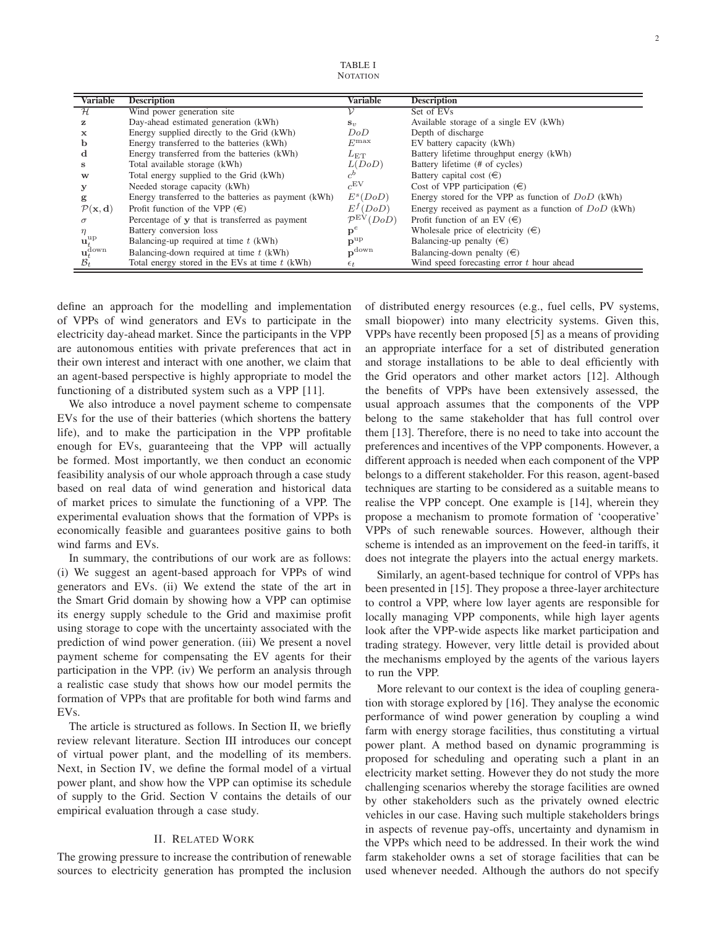TABLE I **NOTATION** 

| <b>Variable</b>                      | <b>Description</b>                                   | Variable                       | <b>Description</b>                                      |
|--------------------------------------|------------------------------------------------------|--------------------------------|---------------------------------------------------------|
| $\mathcal H$                         | Wind power generation site                           |                                | Set of EVs                                              |
| z                                    | Day-ahead estimated generation (kWh)                 | $S_{\gamma}$                   | Available storage of a single EV (kWh)                  |
| x                                    | Energy supplied directly to the Grid (kWh)           | DoD                            | Depth of discharge                                      |
| b                                    | Energy transferred to the batteries (kWh)            | $E$ max                        | EV battery capacity (kWh)                               |
| d                                    | Energy transferred from the batteries (kWh)          | $L_{\rm ET}$                   | Battery lifetime throughput energy (kWh)                |
| s                                    | Total available storage (kWh)                        | L(DoD)                         | Battery lifetime (# of cycles)                          |
| w                                    | Total energy supplied to the Grid (kWh)              | $c^b$                          | Battery capital cost $(\in)$                            |
| у                                    | Needed storage capacity (kWh)                        | $c^{\rm EV}$                   | Cost of VPP participation $(\epsilon)$                  |
| g                                    | Energy transferred to the batteries as payment (kWh) | $E^s(DoD)$                     | Energy stored for the VPP as function of $DoD$ (kWh)    |
| $\mathcal{P}(\mathbf{x},\mathbf{d})$ | Profit function of the VPP $(\in)$                   | $E^f(DoD)$                     | Energy received as payment as a function of $DoD$ (kWh) |
| $\sigma$                             | Percentage of y that is transferred as payment       | $\mathcal{P}^{\text{EV}}(DoD)$ | Profit function of an EV $(\epsilon)$                   |
| $\eta$                               | Battery conversion loss                              | $\mathbf{p}^e$                 | Wholesale price of electricity $(\epsilon)$             |
| up<br>$\mathbf{u}_t$                 | Balancing-up required at time $t$ (kWh)              | $\mathbf{p}^{\text{up}}$       | Balancing-up penalty $(\in)$                            |
| $\mathbf{u}^{\text{down}}_t$         | Balancing-down required at time $t$ (kWh)            | $p^{down}$                     | Balancing-down penalty $(\epsilon)$                     |
| $\mathcal{B}_t$                      | Total energy stored in the EVs at time $t$ (kWh)     | $\epsilon_t$                   | Wind speed forecasting error $t$ hour ahead             |

define an approach for the modelling and implementation of VPPs of wind generators and EVs to participate in the electricity day-ahead market. Since the participants in the VPP are autonomous entities with private preferences that act in their own interest and interact with one another, we claim that an agent-based perspective is highly appropriate to model the functioning of a distributed system such as a VPP [11].

We also introduce a novel payment scheme to compensate EVs for the use of their batteries (which shortens the battery life), and to make the participation in the VPP profitable enough for EVs, guaranteeing that the VPP will actually be formed. Most importantly, we then conduct an economic feasibility analysis of our whole approach through a case study based on real data of wind generation and historical data of market prices to simulate the functioning of a VPP. The experimental evaluation shows that the formation of VPPs is economically feasible and guarantees positive gains to both wind farms and EVs.

In summary, the contributions of our work are as follows: (i) We suggest an agent-based approach for VPPs of wind generators and EVs. (ii) We extend the state of the art in the Smart Grid domain by showing how a VPP can optimise its energy supply schedule to the Grid and maximise profit using storage to cope with the uncertainty associated with the prediction of wind power generation. (iii) We present a novel payment scheme for compensating the EV agents for their participation in the VPP. (iv) We perform an analysis through a realistic case study that shows how our model permits the formation of VPPs that are profitable for both wind farms and EVs.

The article is structured as follows. In Section II, we briefly review relevant literature. Section III introduces our concept of virtual power plant, and the modelling of its members. Next, in Section IV, we define the formal model of a virtual power plant, and show how the VPP can optimise its schedule of supply to the Grid. Section V contains the details of our empirical evaluation through a case study.

## II. RELATED WORK

The growing pressure to increase the contribution of renewable sources to electricity generation has prompted the inclusion of distributed energy resources (e.g., fuel cells, PV systems, small biopower) into many electricity systems. Given this, VPPs have recently been proposed [5] as a means of providing an appropriate interface for a set of distributed generation and storage installations to be able to deal efficiently with the Grid operators and other market actors [12]. Although the benefits of VPPs have been extensively assessed, the usual approach assumes that the components of the VPP belong to the same stakeholder that has full control over them [13]. Therefore, there is no need to take into account the preferences and incentives of the VPP components. However, a different approach is needed when each component of the VPP belongs to a different stakeholder. For this reason, agent-based techniques are starting to be considered as a suitable means to realise the VPP concept. One example is [14], wherein they propose a mechanism to promote formation of 'cooperative' VPPs of such renewable sources. However, although their scheme is intended as an improvement on the feed-in tariffs, it does not integrate the players into the actual energy markets.

Similarly, an agent-based technique for control of VPPs has been presented in [15]. They propose a three-layer architecture to control a VPP, where low layer agents are responsible for locally managing VPP components, while high layer agents look after the VPP-wide aspects like market participation and trading strategy. However, very little detail is provided about the mechanisms employed by the agents of the various layers to run the VPP.

More relevant to our context is the idea of coupling generation with storage explored by [16]. They analyse the economic performance of wind power generation by coupling a wind farm with energy storage facilities, thus constituting a virtual power plant. A method based on dynamic programming is proposed for scheduling and operating such a plant in an electricity market setting. However they do not study the more challenging scenarios whereby the storage facilities are owned by other stakeholders such as the privately owned electric vehicles in our case. Having such multiple stakeholders brings in aspects of revenue pay-offs, uncertainty and dynamism in the VPPs which need to be addressed. In their work the wind farm stakeholder owns a set of storage facilities that can be used whenever needed. Although the authors do not specify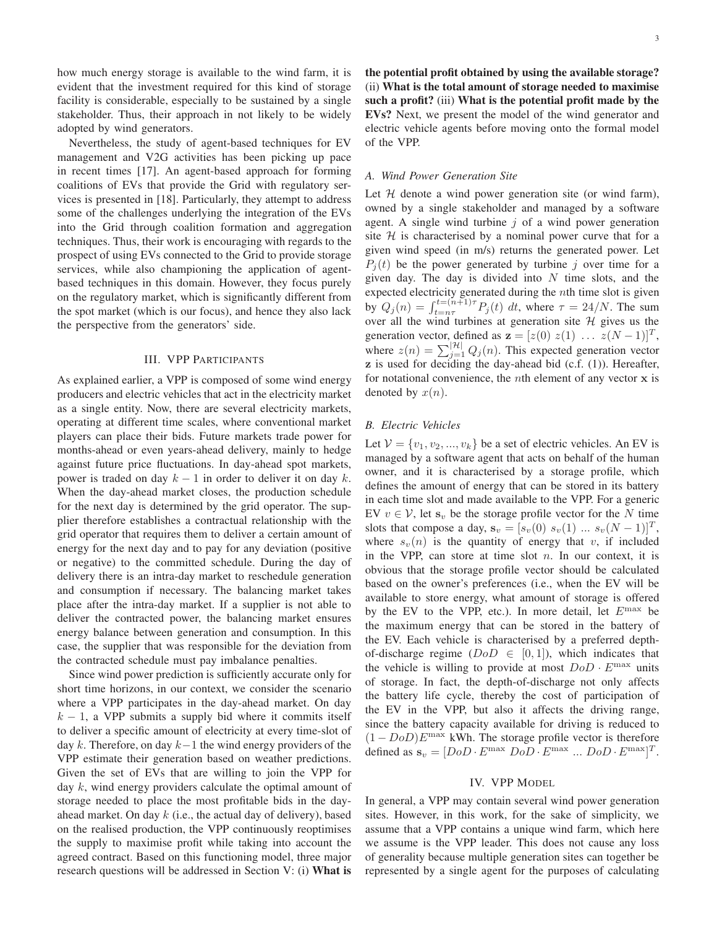how much energy storage is available to the wind farm, it is evident that the investment required for this kind of storage facility is considerable, especially to be sustained by a single stakeholder. Thus, their approach in not likely to be widely adopted by wind generators.

Nevertheless, the study of agent-based techniques for EV management and V2G activities has been picking up pace in recent times [17]. An agent-based approach for forming coalitions of EVs that provide the Grid with regulatory services is presented in [18]. Particularly, they attempt to address some of the challenges underlying the integration of the EVs into the Grid through coalition formation and aggregation techniques. Thus, their work is encouraging with regards to the prospect of using EVs connected to the Grid to provide storage services, while also championing the application of agentbased techniques in this domain. However, they focus purely on the regulatory market, which is significantly different from the spot market (which is our focus), and hence they also lack the perspective from the generators' side.

## III. VPP PARTICIPANTS

As explained earlier, a VPP is composed of some wind energy producers and electric vehicles that act in the electricity market as a single entity. Now, there are several electricity markets, operating at different time scales, where conventional market players can place their bids. Future markets trade power for months-ahead or even years-ahead delivery, mainly to hedge against future price fluctuations. In day-ahead spot markets, power is traded on day  $k - 1$  in order to deliver it on day k. When the day-ahead market closes, the production schedule for the next day is determined by the grid operator. The supplier therefore establishes a contractual relationship with the grid operator that requires them to deliver a certain amount of energy for the next day and to pay for any deviation (positive or negative) to the committed schedule. During the day of delivery there is an intra-day market to reschedule generation and consumption if necessary. The balancing market takes place after the intra-day market. If a supplier is not able to deliver the contracted power, the balancing market ensures energy balance between generation and consumption. In this case, the supplier that was responsible for the deviation from the contracted schedule must pay imbalance penalties.

Since wind power prediction is sufficiently accurate only for short time horizons, in our context, we consider the scenario where a VPP participates in the day-ahead market. On day  $k - 1$ , a VPP submits a supply bid where it commits itself to deliver a specific amount of electricity at every time-slot of day k. Therefore, on day  $k-1$  the wind energy providers of the VPP estimate their generation based on weather predictions. Given the set of EVs that are willing to join the VPP for day  $k$ , wind energy providers calculate the optimal amount of storage needed to place the most profitable bids in the dayahead market. On day  $k$  (i.e., the actual day of delivery), based on the realised production, the VPP continuously reoptimises the supply to maximise profit while taking into account the agreed contract. Based on this functioning model, three major research questions will be addressed in Section V: (i) What is the potential profit obtained by using the available storage? (ii) What is the total amount of storage needed to maximise such a profit? (iii) What is the potential profit made by the EVs? Next, we present the model of the wind generator and electric vehicle agents before moving onto the formal model of the VPP.

## *A. Wind Power Generation Site*

Let  $H$  denote a wind power generation site (or wind farm), owned by a single stakeholder and managed by a software agent. A single wind turbine  $j$  of a wind power generation site  $H$  is characterised by a nominal power curve that for a given wind speed (in m/s) returns the generated power. Let  $P_i(t)$  be the power generated by turbine j over time for a given day. The day is divided into  $N$  time slots, and the expected electricity generated during the nth time slot is given by  $Q_j(n) = \int_{t=n\tau}^{t=(n+1)\tau} P_j(t) dt$ , where  $\tau = 24/N$ . The sum over all the wind turbines at generation site  $H$  gives us the generation vector, defined as  $z = [z(0) z(1) \dots z(N-1)]^T$ , where  $z(n) = \sum_{j=1}^{|\mathcal{H}|} Q_j(n)$ . This expected generation vector z is used for deciding the day-ahead bid (c.f. (1)). Hereafter, for notational convenience, the *n*th element of any vector  $x$  is denoted by  $x(n)$ .

#### *B. Electric Vehicles*

Let  $V = \{v_1, v_2, ..., v_k\}$  be a set of electric vehicles. An EV is managed by a software agent that acts on behalf of the human owner, and it is characterised by a storage profile, which defines the amount of energy that can be stored in its battery in each time slot and made available to the VPP. For a generic EV  $v \in V$ , let  $s_v$  be the storage profile vector for the N time slots that compose a day,  $\mathbf{s}_v = [s_v(0) \ s_v(1) \ ... \ s_v(N-1)]^T$ , where  $s_v(n)$  is the quantity of energy that v, if included in the VPP, can store at time slot  $n$ . In our context, it is obvious that the storage profile vector should be calculated based on the owner's preferences (i.e., when the EV will be available to store energy, what amount of storage is offered by the EV to the VPP, etc.). In more detail, let  $E^{\text{max}}$  be the maximum energy that can be stored in the battery of the EV. Each vehicle is characterised by a preferred depthof-discharge regime  $(DoD \in [0,1])$ , which indicates that the vehicle is willing to provide at most  $DoD \cdot E^{\max}$  units of storage. In fact, the depth-of-discharge not only affects the battery life cycle, thereby the cost of participation of the EV in the VPP, but also it affects the driving range, since the battery capacity available for driving is reduced to  $(1 - DoD)E<sup>max</sup>$  kWh. The storage profile vector is therefore defined as  $\mathbf{s}_v = [DoD \cdot E^{\text{max}} \; DoD \cdot E^{\text{max}} \; \dots \; DoD \cdot E^{\text{max}}]^T$ .

#### IV. VPP MODEL

In general, a VPP may contain several wind power generation sites. However, in this work, for the sake of simplicity, we assume that a VPP contains a unique wind farm, which here we assume is the VPP leader. This does not cause any loss of generality because multiple generation sites can together be represented by a single agent for the purposes of calculating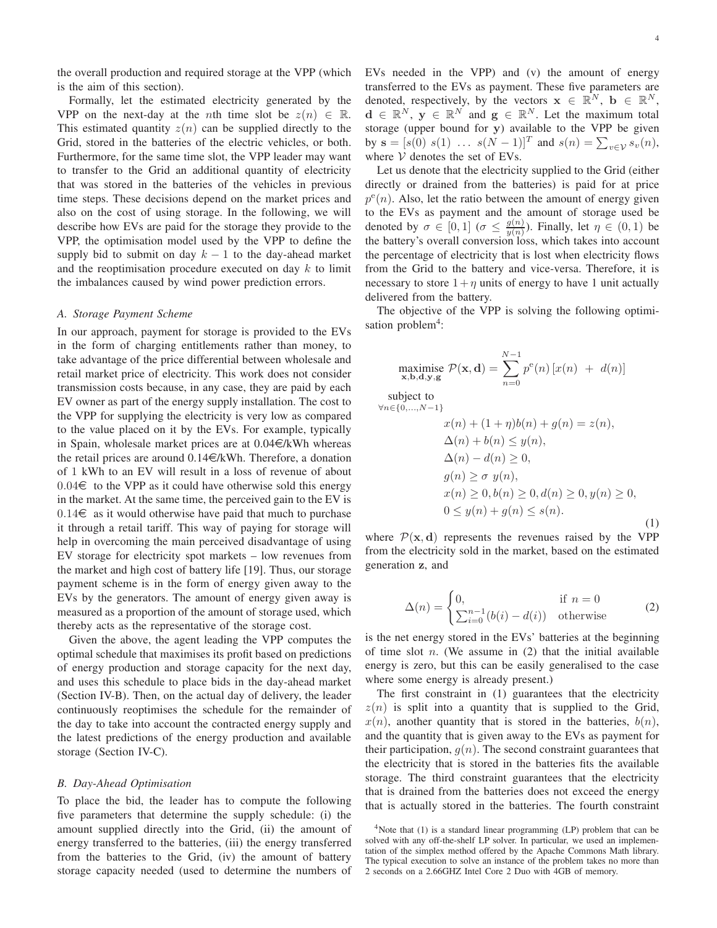the overall production and required storage at the VPP (which is the aim of this section).

Formally, let the estimated electricity generated by the VPP on the next-day at the *n*th time slot be  $z(n) \in \mathbb{R}$ . This estimated quantity  $z(n)$  can be supplied directly to the Grid, stored in the batteries of the electric vehicles, or both. Furthermore, for the same time slot, the VPP leader may want to transfer to the Grid an additional quantity of electricity that was stored in the batteries of the vehicles in previous time steps. These decisions depend on the market prices and also on the cost of using storage. In the following, we will describe how EVs are paid for the storage they provide to the VPP, the optimisation model used by the VPP to define the supply bid to submit on day  $k - 1$  to the day-ahead market and the reoptimisation procedure executed on day  $k$  to limit the imbalances caused by wind power prediction errors.

#### *A. Storage Payment Scheme*

In our approach, payment for storage is provided to the EVs in the form of charging entitlements rather than money, to take advantage of the price differential between wholesale and retail market price of electricity. This work does not consider transmission costs because, in any case, they are paid by each EV owner as part of the energy supply installation. The cost to the VPP for supplying the electricity is very low as compared to the value placed on it by the EVs. For example, typically in Spain, wholesale market prices are at  $0.04 \in /kWh$  whereas the retail prices are around  $0.14 \in \ell$ KWh. Therefore, a donation of 1 kWh to an EV will result in a loss of revenue of about  $0.04\epsilon$  to the VPP as it could have otherwise sold this energy in the market. At the same time, the perceived gain to the EV is  $0.14\epsilon$  as it would otherwise have paid that much to purchase it through a retail tariff. This way of paying for storage will help in overcoming the main perceived disadvantage of using EV storage for electricity spot markets – low revenues from the market and high cost of battery life [19]. Thus, our storage payment scheme is in the form of energy given away to the EVs by the generators. The amount of energy given away is measured as a proportion of the amount of storage used, which thereby acts as the representative of the storage cost.

Given the above, the agent leading the VPP computes the optimal schedule that maximises its profit based on predictions of energy production and storage capacity for the next day, and uses this schedule to place bids in the day-ahead market (Section IV-B). Then, on the actual day of delivery, the leader continuously reoptimises the schedule for the remainder of the day to take into account the contracted energy supply and the latest predictions of the energy production and available storage (Section IV-C).

#### *B. Day-Ahead Optimisation*

To place the bid, the leader has to compute the following five parameters that determine the supply schedule: (i) the amount supplied directly into the Grid, (ii) the amount of energy transferred to the batteries, (iii) the energy transferred from the batteries to the Grid, (iv) the amount of battery storage capacity needed (used to determine the numbers of EVs needed in the VPP) and (v) the amount of energy transferred to the EVs as payment. These five parameters are denoted, respectively, by the vectors  $\mathbf{x} \in \mathbb{R}^N$ ,  $\mathbf{b} \in \mathbb{R}^N$ ,  $\mathbf{d} \in \mathbb{R}^N$ ,  $\mathbf{y} \in \mathbb{R}^N$  and  $\mathbf{g} \in \mathbb{R}^N$ . Let the maximum total storage (upper bound for y) available to the VPP be given by  $\mathbf{s} = [s(0) \ s(1) \dots \ s(N-1)]^T$  and  $s(n) = \sum_{v \in V} s_v(n)$ , where  $V$  denotes the set of EVs.

Let us denote that the electricity supplied to the Grid (either directly or drained from the batteries) is paid for at price  $p^{e}(n)$ . Also, let the ratio between the amount of energy given to the EVs as payment and the amount of storage used be denoted by  $\sigma \in [0, 1]$  ( $\sigma \leq \frac{g(n)}{y(n)}$ ). Finally, let  $\eta \in (0, 1)$  be the battery's overall conversion loss, which takes into account the percentage of electricity that is lost when electricity flows from the Grid to the battery and vice-versa. Therefore, it is necessary to store  $1+\eta$  units of energy to have 1 unit actually delivered from the battery.

The objective of the VPP is solving the following optimisation problem<sup>4</sup>:

maximize 
$$
\mathcal{P}(\mathbf{x}, \mathbf{d}) = \sum_{n=0}^{N-1} p^e(n) [x(n) + d(n)]
$$

subject to  $\forall n \in \{0, \ldots, N-1\}$ 

$$
x(n) + (1 + \eta)b(n) + g(n) = z(n),
$$
  
\n
$$
\Delta(n) + b(n) \leq y(n),
$$
  
\n
$$
\Delta(n) - d(n) \geq 0,
$$
  
\n
$$
g(n) \geq \sigma \ y(n),
$$
  
\n
$$
x(n) \geq 0, b(n) \geq 0, d(n) \geq 0, y(n) \geq 0,
$$
  
\n
$$
0 \leq y(n) + g(n) \leq s(n).
$$
 (1)

where  $\mathcal{P}(x, d)$  represents the revenues raised by the VPP from the electricity sold in the market, based on the estimated generation z, and

$$
\Delta(n) = \begin{cases} 0, & \text{if } n = 0\\ \sum_{i=0}^{n-1} (b(i) - d(i)) & \text{otherwise} \end{cases}
$$
 (2)

is the net energy stored in the EVs' batteries at the beginning of time slot  $n$ . (We assume in  $(2)$  that the initial available energy is zero, but this can be easily generalised to the case where some energy is already present.)

The first constraint in (1) guarantees that the electricity  $z(n)$  is split into a quantity that is supplied to the Grid,  $x(n)$ , another quantity that is stored in the batteries,  $b(n)$ , and the quantity that is given away to the EVs as payment for their participation,  $g(n)$ . The second constraint guarantees that the electricity that is stored in the batteries fits the available storage. The third constraint guarantees that the electricity that is drained from the batteries does not exceed the energy that is actually stored in the batteries. The fourth constraint

<sup>&</sup>lt;sup>4</sup>Note that (1) is a standard linear programming (LP) problem that can be solved with any off-the-shelf LP solver. In particular, we used an implementation of the simplex method offered by the Apache Commons Math library. The typical execution to solve an instance of the problem takes no more than 2 seconds on a 2.66GHZ Intel Core 2 Duo with 4GB of memory.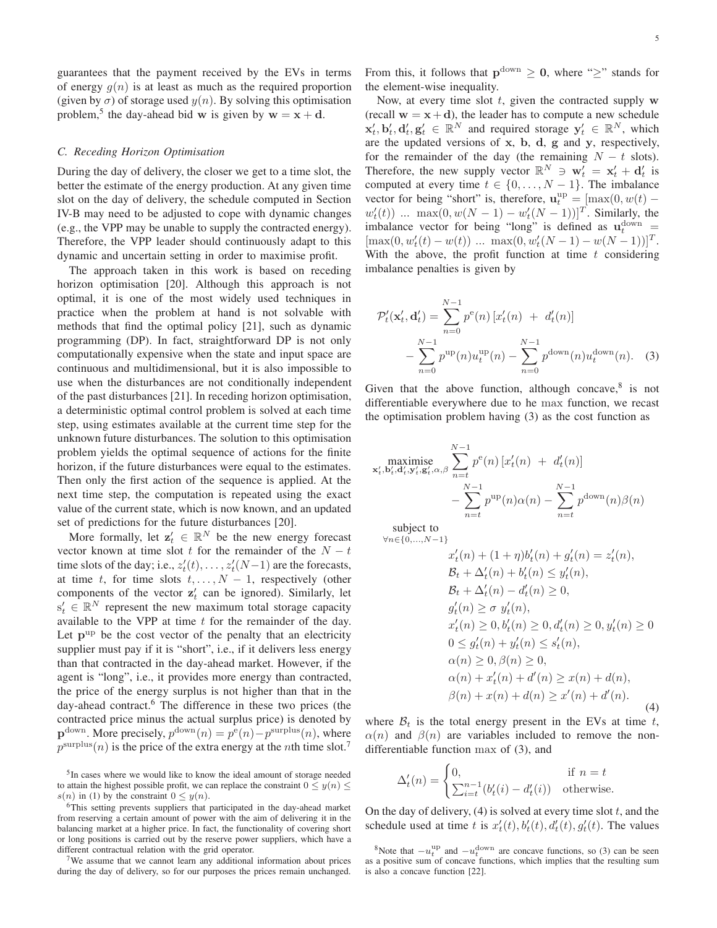guarantees that the payment received by the EVs in terms of energy  $q(n)$  is at least as much as the required proportion (given by  $\sigma$ ) of storage used  $y(n)$ . By solving this optimisation problem,<sup>5</sup> the day-ahead bid w is given by  $w = x + d$ .

## *C. Receding Horizon Optimisation*

During the day of delivery, the closer we get to a time slot, the better the estimate of the energy production. At any given time slot on the day of delivery, the schedule computed in Section IV-B may need to be adjusted to cope with dynamic changes (e.g., the VPP may be unable to supply the contracted energy). Therefore, the VPP leader should continuously adapt to this dynamic and uncertain setting in order to maximise profit.

The approach taken in this work is based on receding horizon optimisation [20]. Although this approach is not optimal, it is one of the most widely used techniques in practice when the problem at hand is not solvable with methods that find the optimal policy [21], such as dynamic programming (DP). In fact, straightforward DP is not only computationally expensive when the state and input space are continuous and multidimensional, but it is also impossible to use when the disturbances are not conditionally independent of the past disturbances [21]. In receding horizon optimisation, a deterministic optimal control problem is solved at each time step, using estimates available at the current time step for the unknown future disturbances. The solution to this optimisation problem yields the optimal sequence of actions for the finite horizon, if the future disturbances were equal to the estimates. Then only the first action of the sequence is applied. At the next time step, the computation is repeated using the exact value of the current state, which is now known, and an updated set of predictions for the future disturbances [20].

More formally, let  $\mathbf{z}'_t \in \mathbb{R}^N$  be the new energy forecast vector known at time slot t for the remainder of the  $N - t$ time slots of the day; i.e.,  $z'_t(t), \ldots, z'_t(N-1)$  are the forecasts, at time t, for time slots  $t, \ldots, N - 1$ , respectively (other components of the vector  $z_t$  can be ignored). Similarly, let  $s_t' \in \mathbb{R}^N$  represent the new maximum total storage capacity available to the VPP at time  $t$  for the remainder of the day. Let  $p^{up}$  be the cost vector of the penalty that an electricity supplier must pay if it is "short", i.e., if it delivers less energy than that contracted in the day-ahead market. However, if the agent is "long", i.e., it provides more energy than contracted, the price of the energy surplus is not higher than that in the day-ahead contract.<sup>6</sup> The difference in these two prices (the contracted price minus the actual surplus price) is denoted by  ${\bf p}^{\text{down}}$ . More precisely,  $p^{\text{down}}(n) = p^{\text{e}}(n) - p^{\text{surplus}}(n)$ , where  $p^{\text{surplus}}(n)$  is the price of the extra energy at the *n*th time slot.<sup>7</sup>

<sup>5</sup>In cases where we would like to know the ideal amount of storage needed to attain the highest possible profit, we can replace the constraint  $0 \leq y(n) \leq s(n)$  in (1) by the constraint  $0 \leq y(n)$ .

<sup>6</sup>This setting prevents suppliers that participated in the day-ahead market from reserving a certain amount of power with the aim of delivering it in the balancing market at a higher price. In fact, the functionality of covering short or long positions is carried out by the reserve power suppliers, which have a different contractual relation with the grid operator.

 $7$ We assume that we cannot learn any additional information about prices during the day of delivery, so for our purposes the prices remain unchanged.

From this, it follows that  $p^{down} \ge 0$ , where "≥" stands for the element-wise inequality.

Now, at every time slot  $t$ , given the contracted supply  $w$ (recall  $w = x + d$ ), the leader has to compute a new schedule  $\mathbf{x}'_t, \mathbf{b}'_t, \mathbf{d}'_t, \mathbf{g}'_t \in \mathbb{R}^N$  and required storage  $\mathbf{y}'_t \in \mathbb{R}^N$ , which are the updated versions of  $x$ ,  $b$ ,  $d$ ,  $g$  and  $y$ , respectively, for the remainder of the day (the remaining  $N - t$  slots). Therefore, the new supply vector  $\mathbb{R}^N \ni \mathbf{w}_t' = \mathbf{x}_t' + \mathbf{d}_t'$  is computed at every time  $t \in \{0, \ldots, N-1\}$ . The imbalance vector for being "short" is, therefore,  $\mathbf{u}_t^{\text{up}} = [\text{max}(0, w(t)$  $w'_t(t)$  ... max $(0, w(N - 1) - w'_t(N - 1))]^T$ . Similarly, the imbalance vector for being "long" is defined as  $u_t^{\text{down}} =$  $[\max(0, w'_t(t) - w(t)) \dots \max(0, w'_t(N-1) - w(N-1))]^T.$ With the above, the profit function at time  $t$  considering imbalance penalties is given by

$$
\mathcal{P}'_t(\mathbf{x}'_t, \mathbf{d}'_t) = \sum_{n=0}^{N-1} p^e(n) \left[ x'_t(n) + d'_t(n) \right] - \sum_{n=0}^{N-1} p^{up}(n) u_t^{up}(n) - \sum_{n=0}^{N-1} p^{down}(n) u_t^{down}(n).
$$
 (3)

Given that the above function, although concave, $8$  is not differentiable everywhere due to he max function, we recast the optimisation problem having (3) as the cost function as

maximise  

$$
\sum_{\mathbf{x}'_t, \mathbf{b}'_t, \mathbf{d}'_t, \mathbf{y}'_t, \mathbf{g}'_t, \alpha, \beta} \sum_{n=t}^{N-1} p^e(n) \left[ x'_t(n) + d'_t(n) \right]
$$

$$
- \sum_{n=t}^{N-1} p^{up}(n) \alpha(n) - \sum_{n=t}^{N-1} p^{\text{down}}(n) \beta(n)
$$

subject to  $\forall n \in \{0, \ldots, N-1\}$ 

$$
x'_{t}(n) + (1 + \eta)b'_{t}(n) + g'_{t}(n) = z'_{t}(n),
$$
  
\n
$$
\mathcal{B}_{t} + \Delta'_{t}(n) + b'_{t}(n) \leq y'_{t}(n),
$$
  
\n
$$
\mathcal{B}_{t} + \Delta'_{t}(n) - d'_{t}(n) \geq 0,
$$
  
\n
$$
g'_{t}(n) \geq \sigma y'_{t}(n),
$$
  
\n
$$
x'_{t}(n) \geq 0, b'_{t}(n) \geq 0, d'_{t}(n) \geq 0, y'_{t}(n) \geq 0
$$
  
\n
$$
0 \leq g'_{t}(n) + y'_{t}(n) \leq s'_{t}(n),
$$
  
\n
$$
\alpha(n) \geq 0, \beta(n) \geq 0,
$$
  
\n
$$
\alpha(n) + x'_{t}(n) + d'(n) \geq x(n) + d(n),
$$
  
\n
$$
\beta(n) + x(n) + d(n) \geq x'(n) + d'(n).
$$
  
\n(4)

where  $B_t$  is the total energy present in the EVs at time t,  $\alpha(n)$  and  $\beta(n)$  are variables included to remove the nondifferentiable function max of (3), and

$$
\Delta'_t(n) = \begin{cases} 0, & \text{if } n = t \\ \sum_{i=t}^{n-1} (b'_t(i) - d'_t(i)) & \text{otherwise.} \end{cases}
$$

On the day of delivery,  $(4)$  is solved at every time slot t, and the schedule used at time t is  $x'_{t}(t), b'_{t}(t), d'_{t}(t), g'_{t}(t)$ . The values

<sup>8</sup>Note that  $-u_t^{\text{up}}$  and  $-u_t^{\text{down}}$  are concave functions, so (3) can be seen as a positive sum of concave functions, which implies that the resulting sum is also a concave function [22].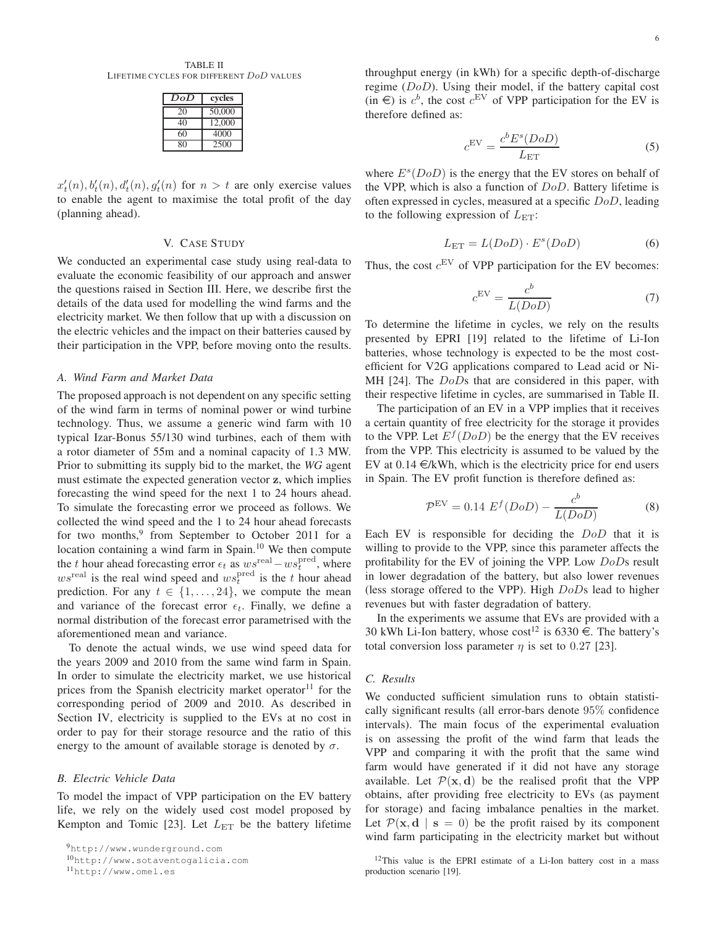TABLE II LIFETIME CYCLES FOR DIFFERENT DoD VALUES

| DoD | cycles |
|-----|--------|
| 20  | 50,000 |
| 40  | 12,000 |
| 60  | 4000   |
| 80  | 2500   |

 $x'_{t}(n), b'_{t}(n), d'_{t}(n), g'_{t}(n)$  for  $n > t$  are only exercise values to enable the agent to maximise the total profit of the day (planning ahead).

## V. CASE STUDY

We conducted an experimental case study using real-data to evaluate the economic feasibility of our approach and answer the questions raised in Section III. Here, we describe first the details of the data used for modelling the wind farms and the electricity market. We then follow that up with a discussion on the electric vehicles and the impact on their batteries caused by their participation in the VPP, before moving onto the results.

#### *A. Wind Farm and Market Data*

The proposed approach is not dependent on any specific setting of the wind farm in terms of nominal power or wind turbine technology. Thus, we assume a generic wind farm with 10 typical Izar-Bonus 55/130 wind turbines, each of them with a rotor diameter of 55m and a nominal capacity of 1.3 MW. Prior to submitting its supply bid to the market, the *WG* agent must estimate the expected generation vector z, which implies forecasting the wind speed for the next 1 to 24 hours ahead. To simulate the forecasting error we proceed as follows. We collected the wind speed and the 1 to 24 hour ahead forecasts for two months, $9$  from September to October 2011 for a location containing a wind farm in Spain.<sup>10</sup> We then compute the t hour ahead forecasting error  $\epsilon_t$  as  $ws^{\text{real}} - ws_t^{\text{pred}}$ , where  $ws^{\text{real}}$  is the real wind speed and  $ws_t^{\text{pred}}$  is the t hour ahead prediction. For any  $t \in \{1, \ldots, 24\}$ , we compute the mean and variance of the forecast error  $\epsilon_t$ . Finally, we define a normal distribution of the forecast error parametrised with the aforementioned mean and variance.

To denote the actual winds, we use wind speed data for the years 2009 and 2010 from the same wind farm in Spain. In order to simulate the electricity market, we use historical prices from the Spanish electricity market operator<sup>11</sup> for the corresponding period of 2009 and 2010. As described in Section IV, electricity is supplied to the EVs at no cost in order to pay for their storage resource and the ratio of this energy to the amount of available storage is denoted by  $\sigma$ .

## *B. Electric Vehicle Data*

To model the impact of VPP participation on the EV battery life, we rely on the widely used cost model proposed by Kempton and Tomic [23]. Let  $L_{ET}$  be the battery lifetime

throughput energy (in kWh) for a specific depth-of-discharge regime (DoD). Using their model, if the battery capital cost  $(in \in E)$  is  $c^b$ , the cost  $c^{EV}$  of VPP participation for the EV is therefore defined as:

$$
c^{\text{EV}} = \frac{c^b E^s (DoD)}{L_{\text{ET}}} \tag{5}
$$

where  $E^s(DoD)$  is the energy that the EV stores on behalf of the VPP, which is also a function of  $DoD$ . Battery lifetime is often expressed in cycles, measured at a specific DoD, leading to the following expression of  $L_{ET}$ :

$$
L_{\text{ET}} = L(DoD) \cdot E^s(DoD) \tag{6}
$$

Thus, the cost  $c^{EV}$  of VPP participation for the EV becomes:

$$
c^{\text{EV}} = \frac{c^b}{L(DoD)}\tag{7}
$$

To determine the lifetime in cycles, we rely on the results presented by EPRI [19] related to the lifetime of Li-Ion batteries, whose technology is expected to be the most costefficient for V2G applications compared to Lead acid or Ni-MH [24]. The *DoDs* that are considered in this paper, with their respective lifetime in cycles, are summarised in Table II.

The participation of an EV in a VPP implies that it receives a certain quantity of free electricity for the storage it provides to the VPP. Let  $E^{f}(DoD)$  be the energy that the EV receives from the VPP. This electricity is assumed to be valued by the EV at  $0.14 \in \mathbb{K}$ Wh, which is the electricity price for end users in Spain. The EV profit function is therefore defined as:

$$
\mathcal{P}^{\text{EV}} = 0.14 \ E^f (DoD) - \frac{c^b}{L(DoD)} \tag{8}
$$

Each EV is responsible for deciding the  $DoD$  that it is willing to provide to the VPP, since this parameter affects the profitability for the EV of joining the VPP. Low DoDs result in lower degradation of the battery, but also lower revenues (less storage offered to the VPP). High  $DoDs$  lead to higher revenues but with faster degradation of battery.

In the experiments we assume that EVs are provided with a 30 kWh Li-Ion battery, whose cost<sup>12</sup> is 6330  $\in$ . The battery's total conversion loss parameter  $\eta$  is set to 0.27 [23].

# *C. Results*

We conducted sufficient simulation runs to obtain statistically significant results (all error-bars denote 95% confidence intervals). The main focus of the experimental evaluation is on assessing the profit of the wind farm that leads the VPP and comparing it with the profit that the same wind farm would have generated if it did not have any storage available. Let  $\mathcal{P}(\mathbf{x}, \mathbf{d})$  be the realised profit that the VPP obtains, after providing free electricity to EVs (as payment for storage) and facing imbalance penalties in the market. Let  $\mathcal{P}(\mathbf{x}, \mathbf{d} \mid \mathbf{s} = 0)$  be the profit raised by its component wind farm participating in the electricity market but without

<sup>9</sup>http://www.wunderground.com

<sup>10</sup>http://www.sotaventogalicia.com

<sup>11</sup>http://www.omel.es

 $12$ This value is the EPRI estimate of a Li-Ion battery cost in a mass production scenario [19].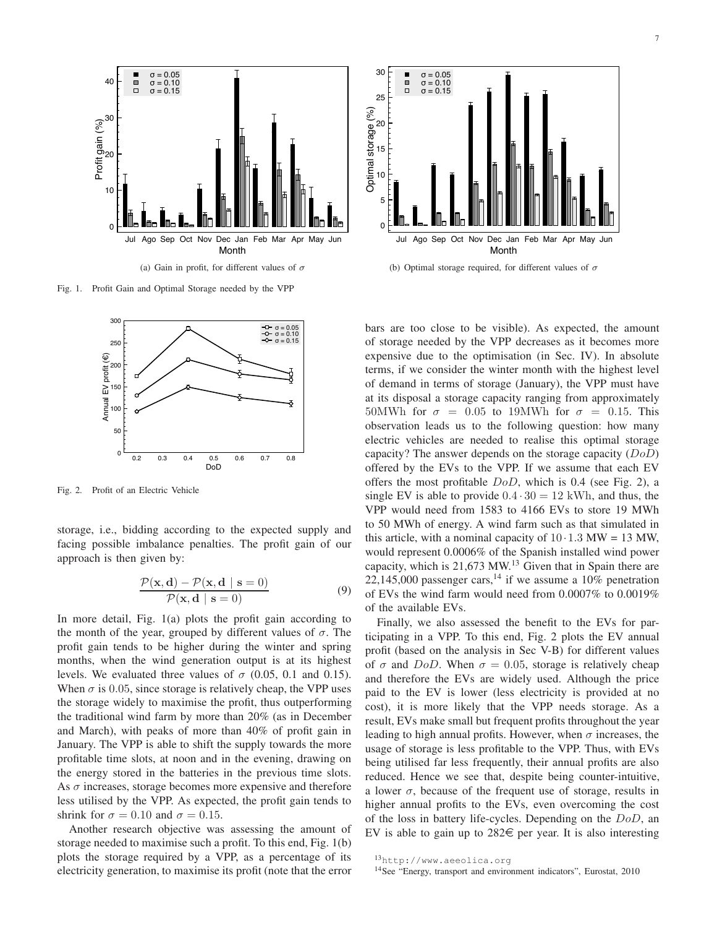

Fig. 1. Profit Gain and Optimal Storage needed by the VPP



Fig. 2. Profit of an Electric Vehicle

storage, i.e., bidding according to the expected supply and facing possible imbalance penalties. The profit gain of our approach is then given by:

$$
\frac{\mathcal{P}(\mathbf{x}, \mathbf{d}) - \mathcal{P}(\mathbf{x}, \mathbf{d} \mid \mathbf{s} = 0)}{\mathcal{P}(\mathbf{x}, \mathbf{d} \mid \mathbf{s} = 0)}
$$
(9)

In more detail, Fig. 1(a) plots the profit gain according to the month of the year, grouped by different values of  $\sigma$ . The profit gain tends to be higher during the winter and spring months, when the wind generation output is at its highest levels. We evaluated three values of  $\sigma$  (0.05, 0.1 and 0.15). When  $\sigma$  is 0.05, since storage is relatively cheap, the VPP uses the storage widely to maximise the profit, thus outperforming the traditional wind farm by more than 20% (as in December and March), with peaks of more than 40% of profit gain in January. The VPP is able to shift the supply towards the more profitable time slots, at noon and in the evening, drawing on the energy stored in the batteries in the previous time slots. As  $\sigma$  increases, storage becomes more expensive and therefore less utilised by the VPP. As expected, the profit gain tends to shrink for  $\sigma = 0.10$  and  $\sigma = 0.15$ .

Another research objective was assessing the amount of storage needed to maximise such a profit. To this end, Fig. 1(b) plots the storage required by a VPP, as a percentage of its electricity generation, to maximise its profit (note that the error



(b) Optimal storage required, for different values of  $\sigma$ 

bars are too close to be visible). As expected, the amount of storage needed by the VPP decreases as it becomes more expensive due to the optimisation (in Sec. IV). In absolute terms, if we consider the winter month with the highest level of demand in terms of storage (January), the VPP must have at its disposal a storage capacity ranging from approximately 50MWh for  $\sigma = 0.05$  to 19MWh for  $\sigma = 0.15$ . This observation leads us to the following question: how many electric vehicles are needed to realise this optimal storage capacity? The answer depends on the storage capacity  $(DoD)$ offered by the EVs to the VPP. If we assume that each EV offers the most profitable  $DoD$ , which is 0.4 (see Fig. 2), a single EV is able to provide  $0.4 \cdot 30 = 12$  kWh, and thus, the VPP would need from 1583 to 4166 EVs to store 19 MWh to 50 MWh of energy. A wind farm such as that simulated in this article, with a nominal capacity of  $10 \cdot 1.3 \text{ MW} = 13 \text{ MW}$ , would represent 0.0006% of the Spanish installed wind power capacity, which is 21,673 MW.<sup>13</sup> Given that in Spain there are 22,145,000 passenger cars,<sup>14</sup> if we assume a 10% penetration of EVs the wind farm would need from 0.0007% to 0.0019% of the available EVs.

Finally, we also assessed the benefit to the EVs for participating in a VPP. To this end, Fig. 2 plots the EV annual profit (based on the analysis in Sec V-B) for different values of  $\sigma$  and  $DoD$ . When  $\sigma = 0.05$ , storage is relatively cheap and therefore the EVs are widely used. Although the price paid to the EV is lower (less electricity is provided at no cost), it is more likely that the VPP needs storage. As a result, EVs make small but frequent profits throughout the year leading to high annual profits. However, when  $\sigma$  increases, the usage of storage is less profitable to the VPP. Thus, with EVs being utilised far less frequently, their annual profits are also reduced. Hence we see that, despite being counter-intuitive, a lower  $\sigma$ , because of the frequent use of storage, results in higher annual profits to the EVs, even overcoming the cost of the loss in battery life-cycles. Depending on the  $DoD$ , an EV is able to gain up to  $282 \in \mathbb{R}$  per year. It is also interesting

<sup>13</sup>http://www.aeeolica.org

<sup>14</sup>See "Energy, transport and environment indicators", Eurostat, 2010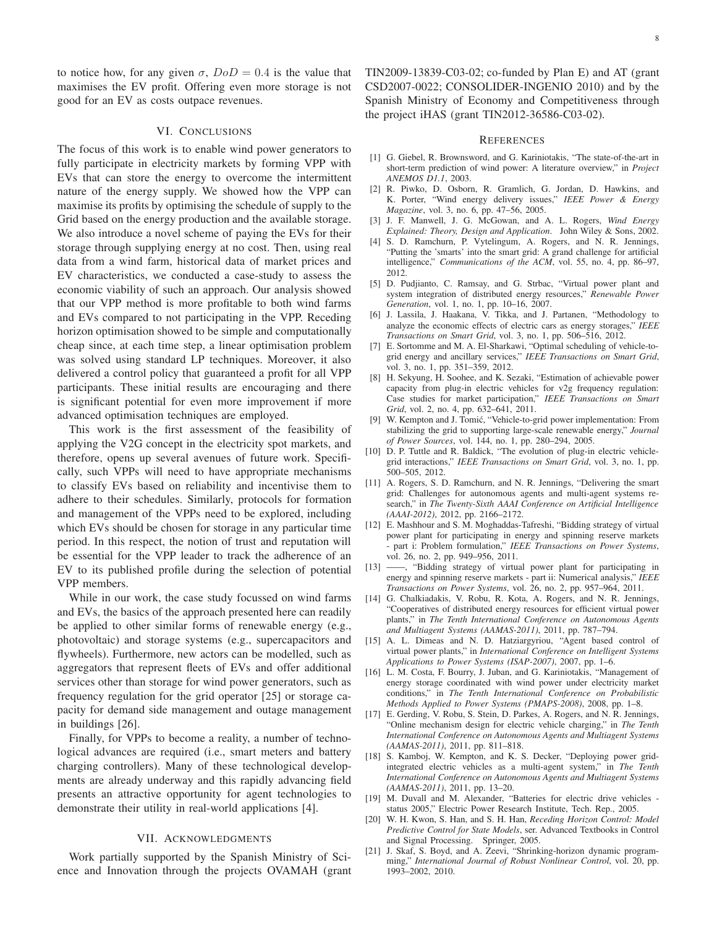to notice how, for any given  $\sigma$ ,  $DoD = 0.4$  is the value that maximises the EV profit. Offering even more storage is not good for an EV as costs outpace revenues.

#### VI. CONCLUSIONS

The focus of this work is to enable wind power generators to fully participate in electricity markets by forming VPP with EVs that can store the energy to overcome the intermittent nature of the energy supply. We showed how the VPP can maximise its profits by optimising the schedule of supply to the Grid based on the energy production and the available storage. We also introduce a novel scheme of paying the EVs for their storage through supplying energy at no cost. Then, using real data from a wind farm, historical data of market prices and EV characteristics, we conducted a case-study to assess the economic viability of such an approach. Our analysis showed that our VPP method is more profitable to both wind farms and EVs compared to not participating in the VPP. Receding horizon optimisation showed to be simple and computationally cheap since, at each time step, a linear optimisation problem was solved using standard LP techniques. Moreover, it also delivered a control policy that guaranteed a profit for all VPP participants. These initial results are encouraging and there is significant potential for even more improvement if more advanced optimisation techniques are employed.

This work is the first assessment of the feasibility of applying the V2G concept in the electricity spot markets, and therefore, opens up several avenues of future work. Specifically, such VPPs will need to have appropriate mechanisms to classify EVs based on reliability and incentivise them to adhere to their schedules. Similarly, protocols for formation and management of the VPPs need to be explored, including which EVs should be chosen for storage in any particular time period. In this respect, the notion of trust and reputation will be essential for the VPP leader to track the adherence of an EV to its published profile during the selection of potential VPP members.

While in our work, the case study focussed on wind farms and EVs, the basics of the approach presented here can readily be applied to other similar forms of renewable energy (e.g., photovoltaic) and storage systems (e.g., supercapacitors and flywheels). Furthermore, new actors can be modelled, such as aggregators that represent fleets of EVs and offer additional services other than storage for wind power generators, such as frequency regulation for the grid operator [25] or storage capacity for demand side management and outage management in buildings [26].

Finally, for VPPs to become a reality, a number of technological advances are required (i.e., smart meters and battery charging controllers). Many of these technological developments are already underway and this rapidly advancing field presents an attractive opportunity for agent technologies to demonstrate their utility in real-world applications [4].

## VII. ACKNOWLEDGMENTS

Work partially supported by the Spanish Ministry of Science and Innovation through the projects OVAMAH (grant TIN2009-13839-C03-02; co-funded by Plan E) and AT (grant CSD2007-0022; CONSOLIDER-INGENIO 2010) and by the Spanish Ministry of Economy and Competitiveness through the project iHAS (grant TIN2012-36586-C03-02).

#### **REFERENCES**

- [1] G. Giebel, R. Brownsword, and G. Kariniotakis, "The state-of-the-art in short-term prediction of wind power: A literature overview," in *Project ANEMOS D1.1*, 2003.
- [2] R. Piwko, D. Osborn, R. Gramlich, G. Jordan, D. Hawkins, and K. Porter, "Wind energy delivery issues," *IEEE Power & Energy Magazine*, vol. 3, no. 6, pp. 47–56, 2005.
- [3] J. F. Manwell, J. G. McGowan, and A. L. Rogers, *Wind Energy Explained: Theory, Design and Application*. John Wiley & Sons, 2002.
- [4] S. D. Ramchurn, P. Vytelingum, A. Rogers, and N. R. Jennings, "Putting the 'smarts' into the smart grid: A grand challenge for artificial intelligence," *Communications of the ACM*, vol. 55, no. 4, pp. 86–97, 2012.
- [5] D. Pudjianto, C. Ramsay, and G. Strbac, "Virtual power plant and system integration of distributed energy resources," *Renewable Power Generation*, vol. 1, no. 1, pp. 10–16, 2007.
- [6] J. Lassila, J. Haakana, V. Tikka, and J. Partanen, "Methodology to analyze the economic effects of electric cars as energy storages," *IEEE Transactions on Smart Grid*, vol. 3, no. 1, pp. 506–516, 2012.
- [7] E. Sortomme and M. A. El-Sharkawi, "Optimal scheduling of vehicle-togrid energy and ancillary services," *IEEE Transactions on Smart Grid*, vol. 3, no. 1, pp. 351–359, 2012.
- [8] H. Sekyung, H. Soohee, and K. Sezaki, "Estimation of achievable power capacity from plug-in electric vehicles for v2g frequency regulation: Case studies for market participation," *IEEE Transactions on Smart Grid*, vol. 2, no. 4, pp. 632–641, 2011.
- [9] W. Kempton and J. Tomić, "Vehicle-to-grid power implementation: From stabilizing the grid to supporting large-scale renewable energy," *Journal of Power Sources*, vol. 144, no. 1, pp. 280–294, 2005.
- [10] D. P. Tuttle and R. Baldick, "The evolution of plug-in electric vehiclegrid interactions," *IEEE Transactions on Smart Grid*, vol. 3, no. 1, pp. 500–505, 2012.
- [11] A. Rogers, S. D. Ramchurn, and N. R. Jennings, "Delivering the smart grid: Challenges for autonomous agents and multi-agent systems research," in *The Twenty-Sixth AAAI Conference on Artificial Intelligence (AAAI-2012)*, 2012, pp. 2166–2172.
- [12] E. Mashhour and S. M. Moghaddas-Tafreshi, "Bidding strategy of virtual power plant for participating in energy and spinning reserve markets - part i: Problem formulation," *IEEE Transactions on Power Systems*, vol. 26, no. 2, pp. 949–956, 2011.
- [13] ——, "Bidding strategy of virtual power plant for participating in energy and spinning reserve markets - part ii: Numerical analysis," *IEEE Transactions on Power Systems*, vol. 26, no. 2, pp. 957–964, 2011.
- [14] G. Chalkiadakis, V. Robu, R. Kota, A. Rogers, and N. R. Jennings, "Cooperatives of distributed energy resources for efficient virtual power plants," in *The Tenth International Conference on Autonomous Agents and Multiagent Systems (AAMAS-2011)*, 2011, pp. 787–794.
- [15] A. L. Dimeas and N. D. Hatziargyriou, "Agent based control of virtual power plants," in *International Conference on Intelligent Systems Applications to Power Systems (ISAP-2007)*, 2007, pp. 1–6.
- [16] L. M. Costa, F. Bourry, J. Juban, and G. Kariniotakis, "Management of energy storage coordinated with wind power under electricity market conditions," in *The Tenth International Conference on Probabilistic Methods Applied to Power Systems (PMAPS-2008)*, 2008, pp. 1–8.
- [17] E. Gerding, V. Robu, S. Stein, D. Parkes, A. Rogers, and N. R. Jennings, "Online mechanism design for electric vehicle charging," in *The Tenth International Conference on Autonomous Agents and Multiagent Systems (AAMAS-2011)*, 2011, pp. 811–818.
- [18] S. Kamboj, W. Kempton, and K. S. Decker, "Deploying power gridintegrated electric vehicles as a multi-agent system," in *The Tenth International Conference on Autonomous Agents and Multiagent Systems (AAMAS-2011)*, 2011, pp. 13–20.
- [19] M. Duvall and M. Alexander, "Batteries for electric drive vehicles status 2005," Electric Power Research Institute, Tech. Rep., 2005.
- [20] W. H. Kwon, S. Han, and S. H. Han, *Receding Horizon Control: Model Predictive Control for State Models*, ser. Advanced Textbooks in Control and Signal Processing. Springer, 2005.
- [21] J. Skaf, S. Boyd, and A. Zeevi, "Shrinking-horizon dynamic programming," *International Journal of Robust Nonlinear Control*, vol. 20, pp. 1993–2002, 2010.